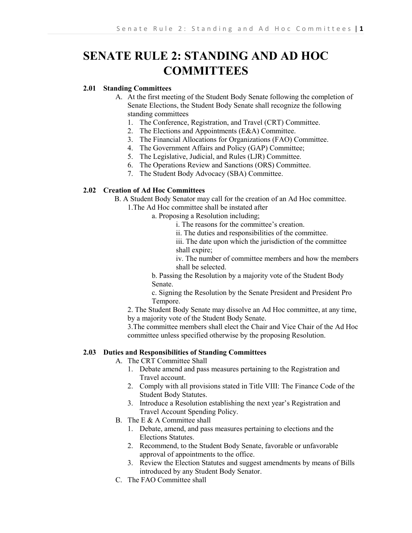# **SENATE RULE 2: STANDING AND AD HOC COMMITTEES**

# **2.01 Standing Committees**

- A. At the first meeting of the Student Body Senate following the completion of Senate Elections, the Student Body Senate shall recognize the following standing committees
	- 1. The Conference, Registration, and Travel (CRT) Committee.
	- 2. The Elections and Appointments (E&A) Committee.
	- 3. The Financial Allocations for Organizations (FAO) Committee.
	- 4. The Government Affairs and Policy (GAP) Committee;
	- 5. The Legislative, Judicial, and Rules (LJR) Committee.
	- 6. The Operations Review and Sanctions (ORS) Committee.
	- 7. The Student Body Advocacy (SBA) Committee.

## **2.02 Creation of Ad Hoc Committees**

B. A Student Body Senator may call for the creation of an Ad Hoc committee.

- 1.The Ad Hoc committee shall be instated after
	- a. Proposing a Resolution including;
		- i. The reasons for the committee's creation.
		- ii. The duties and responsibilities of the committee.

iii. The date upon which the jurisdiction of the committee shall expire;

iv. The number of committee members and how the members shall be selected.

b. Passing the Resolution by a majority vote of the Student Body Senate.

c. Signing the Resolution by the Senate President and President Pro Tempore.

2. The Student Body Senate may dissolve an Ad Hoc committee, at any time, by a majority vote of the Student Body Senate.

3.The committee members shall elect the Chair and Vice Chair of the Ad Hoc committee unless specified otherwise by the proposing Resolution.

## **2.03 Duties and Responsibilities of Standing Committees**

- A. The CRT Committee Shall
	- 1. Debate amend and pass measures pertaining to the Registration and Travel account.
	- 2. Comply with all provisions stated in Title VIII: The Finance Code of the Student Body Statutes.
	- 3. Introduce a Resolution establishing the next year's Registration and Travel Account Spending Policy.
- B. The E & A Committee shall
	- 1. Debate, amend, and pass measures pertaining to elections and the Elections Statutes.
	- 2. Recommend, to the Student Body Senate, favorable or unfavorable approval of appointments to the office.
	- 3. Review the Election Statutes and suggest amendments by means of Bills introduced by any Student Body Senator.
- C. The FAO Committee shall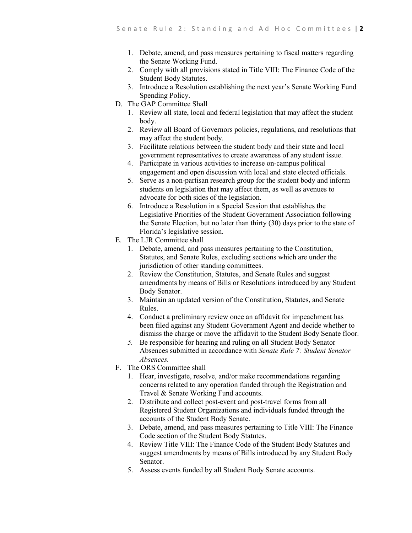- 1. Debate, amend, and pass measures pertaining to fiscal matters regarding the Senate Working Fund.
- 2. Comply with all provisions stated in Title VIII: The Finance Code of the Student Body Statutes.
- 3. Introduce a Resolution establishing the next year's Senate Working Fund Spending Policy.
- D. The GAP Committee Shall
	- 1. Review all state, local and federal legislation that may affect the student body.
	- 2. Review all Board of Governors policies, regulations, and resolutions that may affect the student body.
	- 3. Facilitate relations between the student body and their state and local government representatives to create awareness of any student issue.
	- 4. Participate in various activities to increase on-campus political engagement and open discussion with local and state elected officials.
	- 5. Serve as a non-partisan research group for the student body and inform students on legislation that may affect them, as well as avenues to advocate for both sides of the legislation.
	- 6. Introduce a Resolution in a Special Session that establishes the Legislative Priorities of the Student Government Association following the Senate Election, but no later than thirty (30) days prior to the state of Florida's legislative session.
- E. The LJR Committee shall
	- 1. Debate, amend, and pass measures pertaining to the Constitution, Statutes, and Senate Rules, excluding sections which are under the jurisdiction of other standing committees.
	- 2. Review the Constitution, Statutes, and Senate Rules and suggest amendments by means of Bills or Resolutions introduced by any Student Body Senator.
	- 3. Maintain an updated version of the Constitution, Statutes, and Senate Rules.
	- 4. Conduct a preliminary review once an affidavit for impeachment has been filed against any Student Government Agent and decide whether to dismiss the charge or move the affidavit to the Student Body Senate floor.
	- *5.* Be responsible for hearing and ruling on all Student Body Senator Absences submitted in accordance with *Senate Rule 7: Student Senator Absences.*
- F. The ORS Committee shall
	- 1. Hear, investigate, resolve, and/or make recommendations regarding concerns related to any operation funded through the Registration and Travel & Senate Working Fund accounts.
	- 2. Distribute and collect post-event and post-travel forms from all Registered Student Organizations and individuals funded through the accounts of the Student Body Senate.
	- 3. Debate, amend, and pass measures pertaining to Title VIII: The Finance Code section of the Student Body Statutes.
	- 4. Review Title VIII: The Finance Code of the Student Body Statutes and suggest amendments by means of Bills introduced by any Student Body Senator.
	- 5. Assess events funded by all Student Body Senate accounts.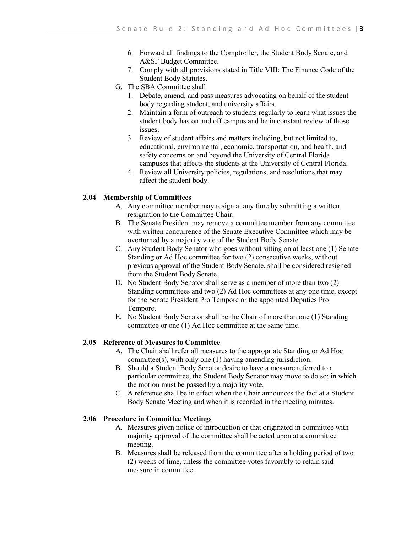- 6. Forward all findings to the Comptroller, the Student Body Senate, and A&SF Budget Committee.
- 7. Comply with all provisions stated in Title VIII: The Finance Code of the Student Body Statutes.
- G. The SBA Committee shall
	- 1. Debate, amend, and pass measures advocating on behalf of the student body regarding student, and university affairs.
	- 2. Maintain a form of outreach to students regularly to learn what issues the student body has on and off campus and be in constant review of those issues.
	- 3. Review of student affairs and matters including, but not limited to, educational, environmental, economic, transportation, and health, and safety concerns on and beyond the University of Central Florida campuses that affects the students at the University of Central Florida.
	- 4. Review all University policies, regulations, and resolutions that may affect the student body.

## **2.04 Membership of Committees**

- A. Any committee member may resign at any time by submitting a written resignation to the Committee Chair.
- B. The Senate President may remove a committee member from any committee with written concurrence of the Senate Executive Committee which may be overturned by a majority vote of the Student Body Senate.
- C. Any Student Body Senator who goes without sitting on at least one (1) Senate Standing or Ad Hoc committee for two (2) consecutive weeks, without previous approval of the Student Body Senate, shall be considered resigned from the Student Body Senate.
- D. No Student Body Senator shall serve as a member of more than two (2) Standing committees and two (2) Ad Hoc committees at any one time, except for the Senate President Pro Tempore or the appointed Deputies Pro Tempore.
- E. No Student Body Senator shall be the Chair of more than one (1) Standing committee or one (1) Ad Hoc committee at the same time.

#### **2.05 Reference of Measures to Committee**

- A. The Chair shall refer all measures to the appropriate Standing or Ad Hoc committee(s), with only one (1) having amending jurisdiction.
- B. Should a Student Body Senator desire to have a measure referred to a particular committee, the Student Body Senator may move to do so; in which the motion must be passed by a majority vote.
- C. A reference shall be in effect when the Chair announces the fact at a Student Body Senate Meeting and when it is recorded in the meeting minutes.

## **2.06 Procedure in Committee Meetings**

- A. Measures given notice of introduction or that originated in committee with majority approval of the committee shall be acted upon at a committee meeting.
- B. Measures shall be released from the committee after a holding period of two (2) weeks of time, unless the committee votes favorably to retain said measure in committee.